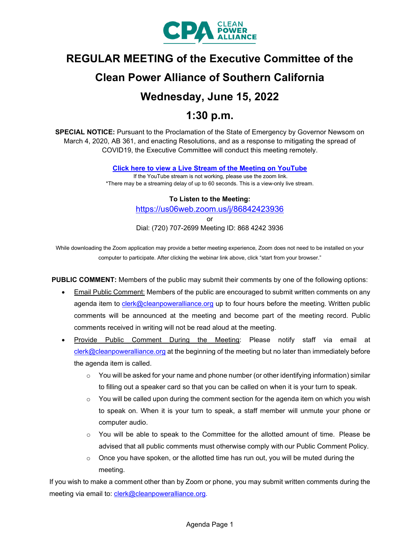

# **REGULAR MEETING of the Executive Committee of the**

# **Clean Power Alliance of Southern California**

# **Wednesday, June 15, 2022**

# **1:30 p.m.**

**SPECIAL NOTICE:** Pursuant to the Proclamation of the State of Emergency by Governor Newsom on March 4, 2020, AB 361, and enacting Resolutions, and as a response to mitigating the spread of COVID19, the Executive Committee will conduct this meeting remotely.

**[Click here to view a Live Stream of the Meeting on YouTube](https://youtu.be/aBuKcLJjQWk)**

If the YouTube stream is not working, please use the zoom link. \*There may be a streaming delay of up to 60 seconds. This is a view-only live stream.

#### **To Listen to the Meeting:**

<https://us06web.zoom.us/j/86842423936>

or

Dial: (720) 707-2699 Meeting ID: 868 4242 3936

While downloading the Zoom application may provide a better meeting experience, Zoom does not need to be installed on your computer to participate. After clicking the webinar link above, click "start from your browser."

**PUBLIC COMMENT:** Members of the public may submit their comments by one of the following options:

- Email Public Comment: Members of the public are encouraged to submit written comments on any agenda item to [clerk@cleanpoweralliance.org](mailto:clerk@cleanpoweralliance.org) up to four hours before the meeting. Written public comments will be announced at the meeting and become part of the meeting record. Public comments received in writing will not be read aloud at the meeting.
- Provide Public Comment During the Meeting: Please notify staff via email at [clerk@cleanpoweralliance.org](mailto:clerk@cleanpoweralliance.org) at the beginning of the meeting but no later than immediately before the agenda item is called.
	- $\circ$  You will be asked for your name and phone number (or other identifying information) similar to filling out a speaker card so that you can be called on when it is your turn to speak.
	- $\circ$  You will be called upon during the comment section for the agenda item on which you wish to speak on. When it is your turn to speak, a staff member will unmute your phone or computer audio.
	- o You will be able to speak to the Committee for the allotted amount of time.  Please be advised that all public comments must otherwise comply with our Public Comment Policy.
	- $\circ$  Once you have spoken, or the allotted time has run out, you will be muted during the meeting.

If you wish to make a comment other than by Zoom or phone, you may submit written comments during the meeting via email to: [clerk@cleanpoweralliance.org.](mailto:clerk@cleanpoweralliance.org)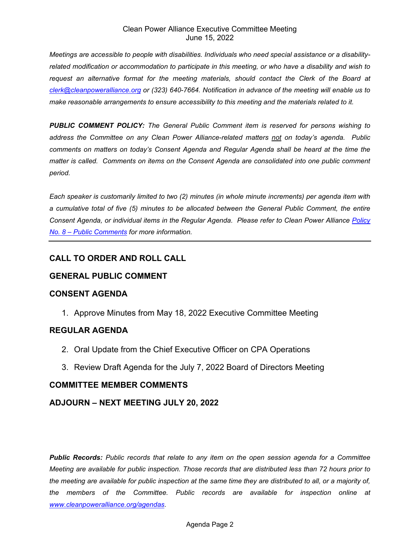#### Clean Power Alliance Executive Committee Meeting June 15, 2022

*Meetings are accessible to people with disabilities. Individuals who need special assistance or a disabilityrelated modification or accommodation to participate in this meeting, or who have a disability and wish to request an alternative format for the meeting materials, should contact the Clerk of the Board at [clerk@cleanpoweralliance.org](mailto:clerk@cleanpoweralliance.org) or (323) 640-7664. Notification in advance of the meeting will enable us to make reasonable arrangements to ensure accessibility to this meeting and the materials related to it.*

*PUBLIC COMMENT POLICY: The General Public Comment item is reserved for persons wishing to address the Committee on any Clean Power Alliance-related matters not on today's agenda. Public comments on matters on today's Consent Agenda and Regular Agenda shall be heard at the time the matter is called. Comments on items on the Consent Agenda are consolidated into one public comment period.* 

*Each speaker is customarily limited to two (2) minutes (in whole minute increments) per agenda item with a cumulative total of five (5) minutes to be allocated between the General Public Comment, the entire Consent Agenda, or individual items in the Regular Agenda. Please refer to Clean Power Alliance [Policy](https://cleanpoweralliance.org/wp-content/uploads/2019/03/CPA2019-08_Policy_Public-Comment.pdf)  [No. 8 – Public Comments](https://cleanpoweralliance.org/wp-content/uploads/2019/03/CPA2019-08_Policy_Public-Comment.pdf) for more information.*

### **CALL TO ORDER AND ROLL CALL**

#### **GENERAL PUBLIC COMMENT**

#### **CONSENT AGENDA**

1. Approve Minutes from May 18, 2022 Executive Committee Meeting

#### **REGULAR AGENDA**

- 2. Oral Update from the Chief Executive Officer on CPA Operations
- 3. Review Draft Agenda for the July 7, 2022 Board of Directors Meeting

#### **COMMITTEE MEMBER COMMENTS**

#### **ADJOURN – NEXT MEETING JULY 20, 2022**

*Public Records: Public records that relate to any item on the open session agenda for a Committee Meeting are available for public inspection. Those records that are distributed less than 72 hours prior to the meeting are available for public inspection at the same time they are distributed to all, or a majority of, the members of the Committee. Public records are available for inspection online at [www.cleanpoweralliance.org/](http://www.cleanpoweralliance.org/)agendas.*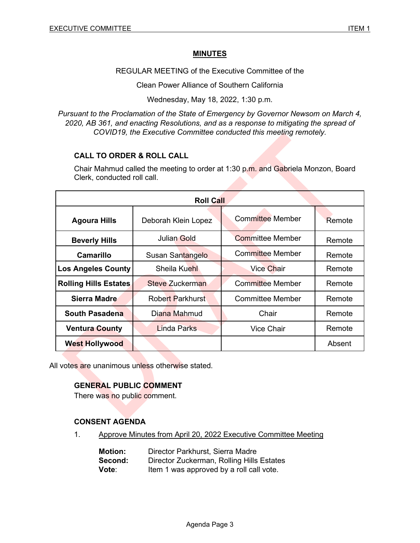#### **MINUTES**

REGULAR MEETING of the Executive Committee of the

Clean Power Alliance of Southern California

Wednesday, May 18, 2022, 1:30 p.m.

*Pursuant to the Proclamation of the State of Emergency by Governor Newsom on March 4, 2020, AB 361, and enacting Resolutions, and as a response to mitigating the spread of COVID19, the Executive Committee conducted this meeting remotely.*

#### **CALL TO ORDER & ROLL CALL**

Chair Mahmud called the meeting to order at 1:30 p.m. and Gabriela Monzon, Board Clerk, conducted roll call.

| <b>Roll Call</b>             |                         |                         |        |  |
|------------------------------|-------------------------|-------------------------|--------|--|
| <b>Agoura Hills</b>          | Deborah Klein Lopez     | <b>Committee Member</b> | Remote |  |
| <b>Beverly Hills</b>         | <b>Julian Gold</b>      | <b>Committee Member</b> | Remote |  |
| <b>Camarillo</b>             | Susan Santangelo        | Committee Member        | Remote |  |
| <b>Los Angeles County</b>    | Sheila Kuehl            | <b>Vice Chair</b>       | Remote |  |
| <b>Rolling Hills Estates</b> | <b>Steve Zuckerman</b>  | <b>Committee Member</b> | Remote |  |
| <b>Sierra Madre</b>          | <b>Robert Parkhurst</b> | <b>Committee Member</b> | Remote |  |
| <b>South Pasadena</b>        | Diana Mahmud            | Chair                   | Remote |  |
| <b>Ventura County</b>        | Linda Parks             | <b>Vice Chair</b>       | Remote |  |
| <b>West Hollywood</b>        |                         |                         | Absent |  |

All votes are unanimous unless otherwise stated.

#### **GENERAL PUBLIC COMMENT**

There was no public comment.

#### **CONSENT AGENDA**

1. Approve Minutes from April 20, 2022 Executive Committee Meeting

| <b>Motion:</b> | Director Parkhurst, Sierra Madre          |
|----------------|-------------------------------------------|
| Second:        | Director Zuckerman, Rolling Hills Estates |
| Vote:          | Item 1 was approved by a roll call vote.  |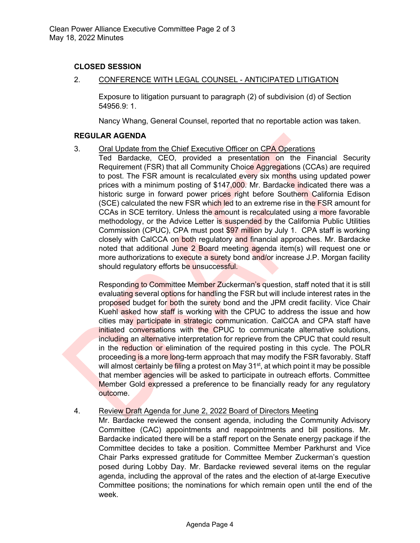#### **CLOSED SESSION**

2. CONFERENCE WITH LEGAL COUNSEL - ANTICIPATED LITIGATION

Exposure to litigation pursuant to paragraph (2) of subdivision (d) of Section 54956.9: 1.

Nancy Whang, General Counsel, reported that no reportable action was taken.

#### **REGULAR AGENDA**

- 3. Oral Update from the Chief Executive Officer on CPA Operations
	- Ted Bardacke, CEO, provided a presentation on the Financial Security Requirement (FSR) that all Community Choice Aggregations (CCAs) are required to post. The FSR amount is recalculated every six months using updated power prices with a minimum posting of \$147,000. Mr. Bardacke indicated there was a historic surge in forward power prices right before Southern California Edison (SCE) calculated the new FSR which led to an extreme rise in the FSR amount for CCAs in SCE territory. Unless the amount is recalculated using a more favorable methodology, or the Advice Letter is suspended by the California Public Utilities Commission (CPUC), CPA must post \$97 million by July 1. CPA staff is working closely with CalCCA on both regulatory and financial approaches. Mr. Bardacke noted that additional June 2 Board meeting agenda item(s) will request one or more authorizations to execute a surety bond and/or increase J.P. Morgan facility should regulatory efforts be unsuccessful.

Responding to Committee Member Zuckerman's question, staff noted that it is still evaluating several options for handling the FSR but will include interest rates in the proposed budget for both the surety bond and the JPM credit facility. Vice Chair Kuehl asked how staff is working with the CPUC to address the issue and how cities may participate in strategic communication. CalCCA and CPA staff have initiated conversations with the CPUC to communicate alternative solutions, including an alternative interpretation for reprieve from the CPUC that could result in the reduction or elimination of the required posting in this cycle. The POLR proceeding is a more long-term approach that may modify the FSR favorably. Staff will almost c<mark>ert</mark>ainly be <mark>fili</mark>ng a protest on May 31<sup>st</sup>, at which point it may be possible that member agencies will be asked to participate in outreach efforts. Committee Member Gold expressed a preference to be financially ready for any regulatory outcome.

#### 4. Review Draft Agenda for June 2, 2022 Board of Directors Meeting

Mr. Bardacke reviewed the consent agenda, including the Community Advisory Committee (CAC) appointments and reappointments and bill positions. Mr. Bardacke indicated there will be a staff report on the Senate energy package if the Committee decides to take a position. Committee Member Parkhurst and Vice Chair Parks expressed gratitude for Committee Member Zuckerman's question posed during Lobby Day. Mr. Bardacke reviewed several items on the regular agenda, including the approval of the rates and the election of at-large Executive Committee positions; the nominations for which remain open until the end of the week.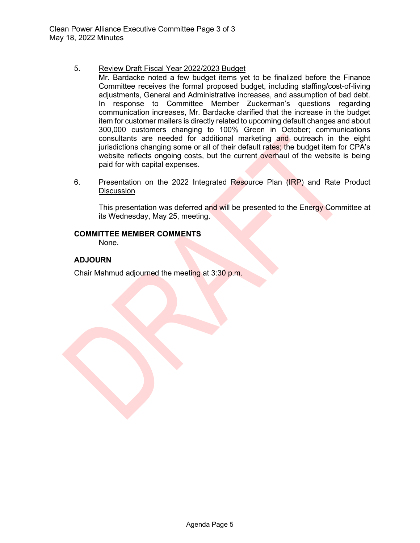#### 5. Review Draft Fiscal Year 2022/2023 Budget

- Mr. Bardacke noted a few budget items yet to be finalized before the Finance Committee receives the formal proposed budget, including staffing/cost-of-living adjustments, General and Administrative increases, and assumption of bad debt. In response to Committee Member Zuckerman's questions regarding communication increases, Mr. Bardacke clarified that the increase in the budget item for customer mailers is directly related to upcoming default changes and about 300,000 customers changing to 100% Green in October; communications consultants are needed for additional marketing and outreach in the eight jurisdictions changing some or all of their default rates; the budget item for CPA's website reflects ongoing costs, but the current overhaul of the website is being paid for with capital expenses.
- 6. Presentation on the 2022 Integrated Resource Plan (IRP) and Rate Product **Discussion**

This presentation was deferred and will be presented to the Energy Committee at its Wednesday, May 25, meeting.

#### **COMMITTEE MEMBER COMMENTS**

None.

#### **ADJOURN**

Chair Mahmud adjourned the meeting at 3:30 p.m.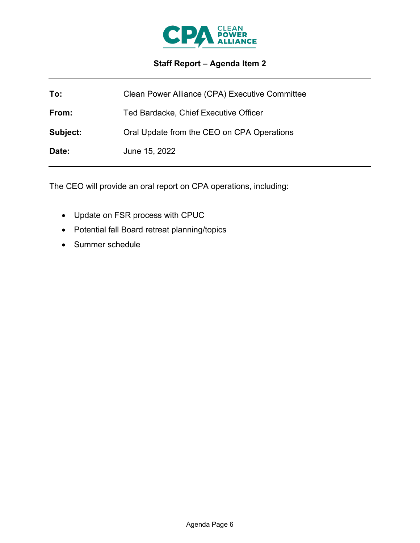

# **Staff Report – Agenda Item 2**

| To:      | Clean Power Alliance (CPA) Executive Committee |
|----------|------------------------------------------------|
| From:    | Ted Bardacke, Chief Executive Officer          |
| Subject: | Oral Update from the CEO on CPA Operations     |
| Date:    | June 15, 2022                                  |

The CEO will provide an oral report on CPA operations, including:

- Update on FSR process with CPUC
- Potential fall Board retreat planning/topics
- Summer schedule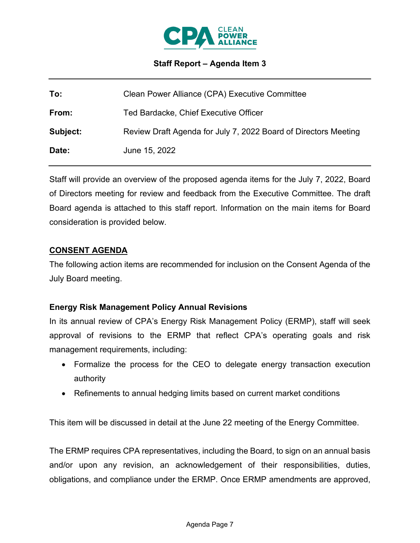

### **Staff Report – Agenda Item 3**

| To:      | Clean Power Alliance (CPA) Executive Committee                  |
|----------|-----------------------------------------------------------------|
| From:    | Ted Bardacke, Chief Executive Officer                           |
| Subject: | Review Draft Agenda for July 7, 2022 Board of Directors Meeting |
| Date:    | June 15, 2022                                                   |

Staff will provide an overview of the proposed agenda items for the July 7, 2022, Board of Directors meeting for review and feedback from the Executive Committee. The draft Board agenda is attached to this staff report. Information on the main items for Board consideration is provided below.

#### **CONSENT AGENDA**

The following action items are recommended for inclusion on the Consent Agenda of the July Board meeting.

#### **Energy Risk Management Policy Annual Revisions**

In its annual review of CPA's Energy Risk Management Policy (ERMP), staff will seek approval of revisions to the ERMP that reflect CPA's operating goals and risk management requirements, including:

- Formalize the process for the CEO to delegate energy transaction execution authority
- Refinements to annual hedging limits based on current market conditions

This item will be discussed in detail at the June 22 meeting of the Energy Committee.

The ERMP requires CPA representatives, including the Board, to sign on an annual basis and/or upon any revision, an acknowledgement of their responsibilities, duties, obligations, and compliance under the ERMP. Once ERMP amendments are approved,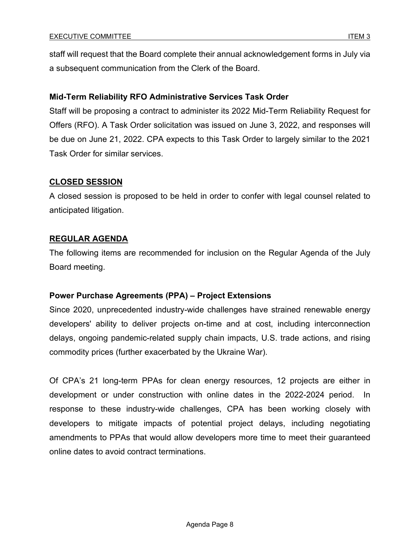staff will request that the Board complete their annual acknowledgement forms in July via a subsequent communication from the Clerk of the Board.

### **Mid-Term Reliability RFO Administrative Services Task Order**

Staff will be proposing a contract to administer its 2022 Mid-Term Reliability Request for Offers (RFO). A Task Order solicitation was issued on June 3, 2022, and responses will be due on June 21, 2022. CPA expects to this Task Order to largely similar to the 2021 Task Order for similar services.

### **CLOSED SESSION**

A closed session is proposed to be held in order to confer with legal counsel related to anticipated litigation.

# **REGULAR AGENDA**

The following items are recommended for inclusion on the Regular Agenda of the July Board meeting.

#### **Power Purchase Agreements (PPA) – Project Extensions**

Since 2020, unprecedented industry-wide challenges have strained renewable energy developers' ability to deliver projects on-time and at cost, including interconnection delays, ongoing pandemic-related supply chain impacts, U.S. trade actions, and rising commodity prices (further exacerbated by the Ukraine War).

Of CPA's 21 long-term PPAs for clean energy resources, 12 projects are either in development or under construction with online dates in the 2022-2024 period. In response to these industry-wide challenges, CPA has been working closely with developers to mitigate impacts of potential project delays, including negotiating amendments to PPAs that would allow developers more time to meet their guaranteed online dates to avoid contract terminations.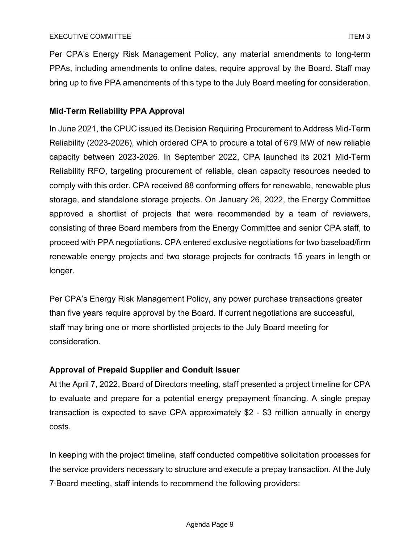Per CPA's Energy Risk Management Policy, any material amendments to long-term PPAs, including amendments to online dates, require approval by the Board. Staff may bring up to five PPA amendments of this type to the July Board meeting for consideration.

### **Mid-Term Reliability PPA Approval**

In June 2021, the CPUC issued its Decision Requiring Procurement to Address Mid-Term Reliability (2023-2026), which ordered CPA to procure a total of 679 MW of new reliable capacity between 2023-2026. In September 2022, CPA launched its 2021 Mid-Term Reliability RFO, targeting procurement of reliable, clean capacity resources needed to comply with this order. CPA received 88 conforming offers for renewable, renewable plus storage, and standalone storage projects. On January 26, 2022, the Energy Committee approved a shortlist of projects that were recommended by a team of reviewers, consisting of three Board members from the Energy Committee and senior CPA staff, to proceed with PPA negotiations. CPA entered exclusive negotiations for two baseload/firm renewable energy projects and two storage projects for contracts 15 years in length or longer.

Per CPA's Energy Risk Management Policy, any power purchase transactions greater than five years require approval by the Board. If current negotiations are successful, staff may bring one or more shortlisted projects to the July Board meeting for consideration.

# **Approval of Prepaid Supplier and Conduit Issuer**

At the April 7, 2022, Board of Directors meeting, staff presented a project timeline for CPA to evaluate and prepare for a potential energy prepayment financing. A single prepay transaction is expected to save CPA approximately \$2 - \$3 million annually in energy costs.

In keeping with the project timeline, staff conducted competitive solicitation processes for the service providers necessary to structure and execute a prepay transaction. At the July 7 Board meeting, staff intends to recommend the following providers: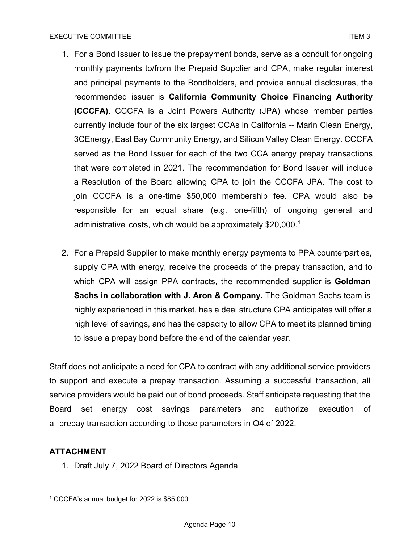- 1. For a Bond Issuer to issue the prepayment bonds, serve as a conduit for ongoing monthly payments to/from the Prepaid Supplier and CPA, make regular interest and principal payments to the Bondholders, and provide annual disclosures, the recommended issuer is **California Community Choice Financing Authority (CCCFA)**. CCCFA is a Joint Powers Authority (JPA) whose member parties currently include four of the six largest CCAs in California -- Marin Clean Energy, 3CEnergy, East Bay Community Energy, and Silicon Valley Clean Energy. CCCFA served as the Bond Issuer for each of the two CCA energy prepay transactions that were completed in 2021. The recommendation for Bond Issuer will include a Resolution of the Board allowing CPA to join the CCCFA JPA. The cost to join CCCFA is a one-time \$50,000 membership fee. CPA would also be responsible for an equal share (e.g. one-fifth) of ongoing general and administrative costs, which would be approximately \$20,000.[1](#page-9-0)
- 2. For a Prepaid Supplier to make monthly energy payments to PPA counterparties, supply CPA with energy, receive the proceeds of the prepay transaction, and to which CPA will assign PPA contracts, the recommended supplier is **Goldman Sachs in collaboration with J. Aron & Company.** The Goldman Sachs team is highly experienced in this market, has a deal structure CPA anticipates will offer a high level of savings, and has the capacity to allow CPA to meet its planned timing to issue a prepay bond before the end of the calendar year.

Staff does not anticipate a need for CPA to contract with any additional service providers to support and execute a prepay transaction. Assuming a successful transaction, all service providers would be paid out of bond proceeds. Staff anticipate requesting that the Board set energy cost savings parameters and authorize execution of a prepay transaction according to those parameters in Q4 of 2022.

# **ATTACHMENT**

1. Draft July 7, 2022 Board of Directors Agenda

<span id="page-9-0"></span><sup>1</sup> CCCFA's annual budget for 2022 is \$85,000.